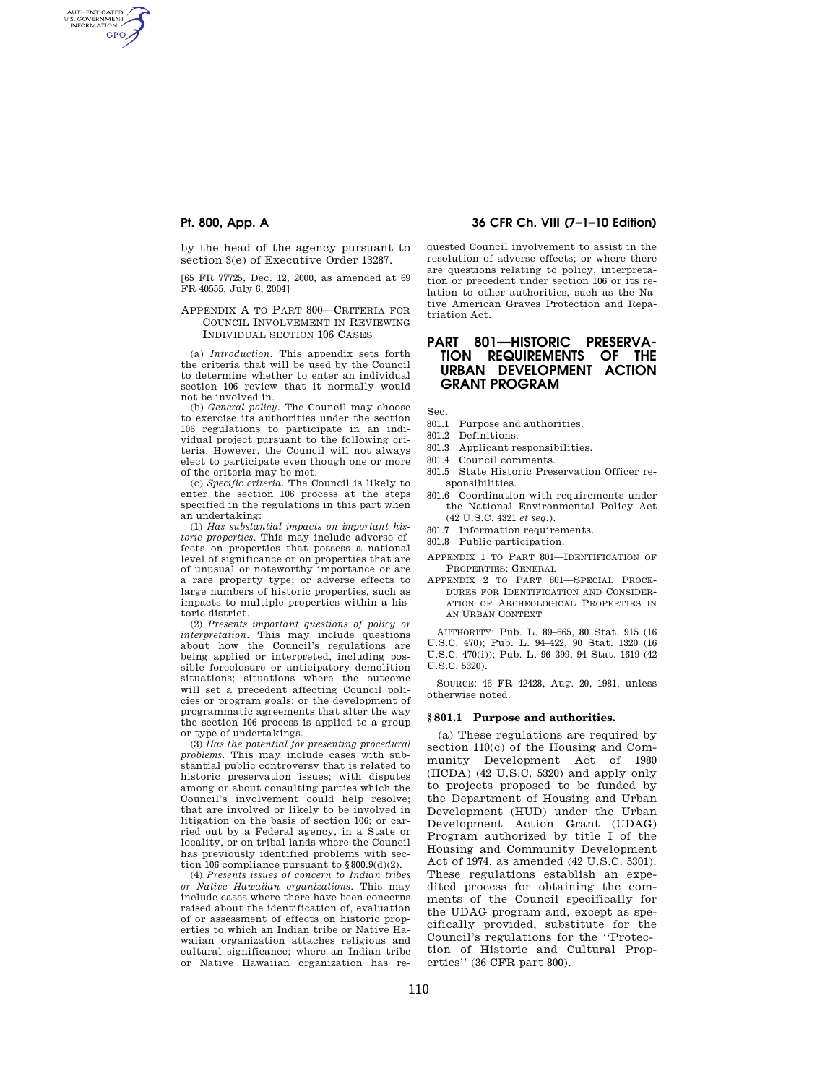AUTHENTICATED<br>U.S. GOVERNMENT<br>INFORMATION **GPO** 

> by the head of the agency pursuant to section 3(e) of Executive Order 13287.

[65 FR 77725, Dec. 12, 2000, as amended at 69 FR 40555, July 6, 2004]

## APPENDIX A TO PART 800—CRITERIA FOR COUNCIL INVOLVEMENT IN REVIEWING INDIVIDUAL SECTION 106 CASES

(a) *Introduction.* This appendix sets forth the criteria that will be used by the Council to determine whether to enter an individual section 106 review that it normally would not be involved in.

(b) *General policy.* The Council may choose to exercise its authorities under the section 106 regulations to participate in an individual project pursuant to the following criteria. However, the Council will not always elect to participate even though one or more of the criteria may be met.

(c) *Specific criteria.* The Council is likely to enter the section 106 process at the steps specified in the regulations in this part when an undertaking:

(1) *Has substantial impacts on important historic properties.* This may include adverse effects on properties that possess a national level of significance or on properties that are of unusual or noteworthy importance or are a rare property type; or adverse effects to large numbers of historic properties, such as impacts to multiple properties within a historic district.

(2) *Presents important questions of policy or interpretation.* This may include questions about how the Council's regulations are being applied or interpreted, including possible foreclosure or anticipatory demolition situations; situations where the outcome will set a precedent affecting Council policies or program goals; or the development of programmatic agreements that alter the way the section 106 process is applied to a group or type of undertakings.

(3) *Has the potential for presenting procedural problems.* This may include cases with substantial public controversy that is related to historic preservation issues; with disputes among or about consulting parties which the Council's involvement could help resolve; that are involved or likely to be involved in litigation on the basis of section 106; or carried out by a Federal agency, in a State or locality, or on tribal lands where the Council has previously identified problems with section 106 compliance pursuant to §800.9(d)(2).

(4) *Presents issues of concern to Indian tribes or Native Hawaiian organizations.* This may include cases where there have been concerns raised about the identification of, evaluation of or assessment of effects on historic properties to which an Indian tribe or Native Hawaiian organization attaches religious and cultural significance; where an Indian tribe or Native Hawaiian organization has re-

# **Pt. 800, App. A 36 CFR Ch. VIII (7–1–10 Edition)**

quested Council involvement to assist in the resolution of adverse effects; or where there are questions relating to policy, interpretation or precedent under section 106 or its relation to other authorities, such as the Native American Graves Protection and Repatriation Act.

# **PART 801—HISTORIC PRESERVA-TION REQUIREMENTS OF THE URBAN DEVELOPMENT ACTION GRANT PROGRAM**

Sec.

- 801.1 Purpose and authorities.
- 801.2 Definitions.
- 801.3 Applicant responsibilities.
- 801.4 Council comments.
- 801.5 State Historic Preservation Officer responsibilities.
- 801.6 Coordination with requirements under the National Environmental Policy Act (42 U.S.C. 4321 *et seq.*).
- 801.7 Information requirements.
- 801.8 Public participation.
- APPENDIX 1 TO PART 801—IDENTIFICATION OF PROPERTIES: GENERAL
- APPENDIX 2 TO PART 801—SPECIAL PROCE-DURES FOR IDENTIFICATION AND CONSIDER-ATION OF ARCHEOLOGICAL PROPERTIES IN AN URBAN CONTEXT

AUTHORITY: Pub. L. 89–665, 80 Stat. 915 (16 U.S.C. 470); Pub. L. 94–422, 90 Stat. 1320 (16 U.S.C. 470(i)); Pub. L. 96–399, 94 Stat. 1619 (42 U.S.C. 5320).

SOURCE: 46 FR 42428, Aug. 20, 1981, unless otherwise noted.

#### **§ 801.1 Purpose and authorities.**

(a) These regulations are required by section 110(c) of the Housing and Community Development Act of 1980 (HCDA) (42 U.S.C. 5320) and apply only to projects proposed to be funded by the Department of Housing and Urban Development (HUD) under the Urban Development Action Grant (UDAG) Program authorized by title I of the Housing and Community Development Act of 1974, as amended (42 U.S.C. 5301). These regulations establish an expedited process for obtaining the comments of the Council specifically for the UDAG program and, except as specifically provided, substitute for the Council's regulations for the ''Protection of Historic and Cultural Properties'' (36 CFR part 800).